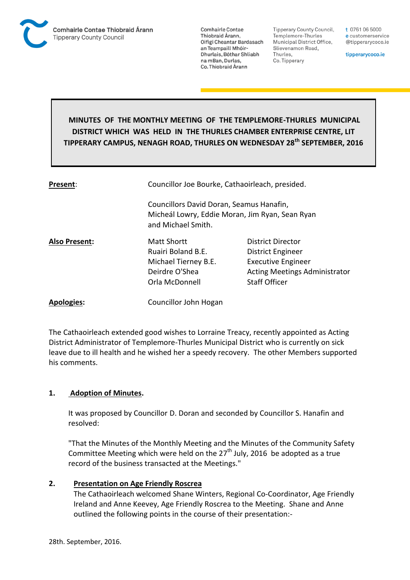

**Tipperary County Council,** Templemore-Thurles Municipal District Office, Slievenamon Road, Thurles, Co. Tipperary

t 0761 06 5000 e customerservice @tipperarycoco.ie

tipperarycoco.ie

# **MINUTES OF THE MONTHLY MEETING OF THE TEMPLEMORE-THURLES MUNICIPAL DISTRICT WHICH WAS HELD IN THE THURLES CHAMBER ENTERPRISE CENTRE, LIT TIPPERARY CAMPUS, NENAGH ROAD, THURLES ON WEDNESDAY 28th SEPTEMBER, 2016**

| Present:             | Councillor Joe Bourke, Cathaoirleach, presided.<br>Councillors David Doran, Seamus Hanafin,<br>Micheál Lowry, Eddie Moran, Jim Ryan, Sean Ryan<br>and Michael Smith. |                                                                                                                                     |  |
|----------------------|----------------------------------------------------------------------------------------------------------------------------------------------------------------------|-------------------------------------------------------------------------------------------------------------------------------------|--|
|                      |                                                                                                                                                                      |                                                                                                                                     |  |
| <b>Also Present:</b> | Matt Shortt<br>Ruairi Boland B.E.<br>Michael Tierney B.E.<br>Deirdre O'Shea<br>Orla McDonnell                                                                        | District Director<br>District Engineer<br><b>Executive Engineer</b><br><b>Acting Meetings Administrator</b><br><b>Staff Officer</b> |  |
| <b>Apologies:</b>    | Councillor John Hogan                                                                                                                                                |                                                                                                                                     |  |

The Cathaoirleach extended good wishes to Lorraine Treacy, recently appointed as Acting District Administrator of Templemore-Thurles Municipal District who is currently on sick leave due to ill health and he wished her a speedy recovery. The other Members supported his comments.

# **1. Adoption of Minutes.**

It was proposed by Councillor D. Doran and seconded by Councillor S. Hanafin and resolved:

"That the Minutes of the Monthly Meeting and the Minutes of the Community Safety Committee Meeting which were held on the  $27<sup>th</sup>$  July, 2016 be adopted as a true record of the business transacted at the Meetings."

## **2. Presentation on Age Friendly Roscrea**

The Cathaoirleach welcomed Shane Winters, Regional Co-Coordinator, Age Friendly Ireland and Anne Keevey, Age Friendly Roscrea to the Meeting. Shane and Anne outlined the following points in the course of their presentation:-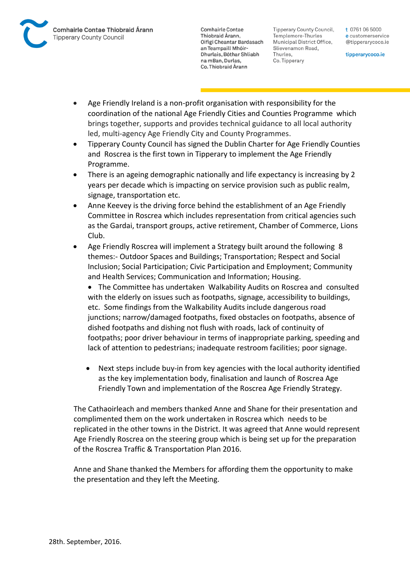

Tipperary County Council. Templemore-Thurles Municipal District Office, Slievenamon Road, Thurles, Co. Tipperary

t 0761 06 5000 e customerservice @tipperarycoco.ie

tipperarycoco.ie

- Age Friendly Ireland is a non-profit organisation with responsibility for the coordination of the national Age Friendly Cities and Counties Programme which brings together, supports and provides technical guidance to all local authority led, multi-agency Age Friendly City and County Programmes.
- Tipperary County Council has signed the Dublin Charter for Age Friendly Counties and Roscrea is the first town in Tipperary to implement the Age Friendly Programme.
- There is an ageing demographic nationally and life expectancy is increasing by 2 years per decade which is impacting on service provision such as public realm, signage, transportation etc.
- Anne Keevey is the driving force behind the establishment of an Age Friendly Committee in Roscrea which includes representation from critical agencies such as the Gardai, transport groups, active retirement, Chamber of Commerce, Lions Club.
- Age Friendly Roscrea will implement a Strategy built around the following 8 themes:- Outdoor Spaces and Buildings; Transportation; Respect and Social Inclusion; Social Participation; Civic Participation and Employment; Community and Health Services; Communication and Information; Housing.
	- The Committee has undertaken Walkability Audits on Roscrea and consulted with the elderly on issues such as footpaths, signage, accessibility to buildings, etc. Some findings from the Walkability Audits include dangerous road junctions; narrow/damaged footpaths, fixed obstacles on footpaths, absence of dished footpaths and dishing not flush with roads, lack of continuity of footpaths; poor driver behaviour in terms of inappropriate parking, speeding and lack of attention to pedestrians; inadequate restroom facilities; poor signage.
	- Next steps include buy-in from key agencies with the local authority identified as the key implementation body, finalisation and launch of Roscrea Age Friendly Town and implementation of the Roscrea Age Friendly Strategy.

The Cathaoirleach and members thanked Anne and Shane for their presentation and complimented them on the work undertaken in Roscrea which needs to be replicated in the other towns in the District. It was agreed that Anne would represent Age Friendly Roscrea on the steering group which is being set up for the preparation of the Roscrea Traffic & Transportation Plan 2016.

Anne and Shane thanked the Members for affording them the opportunity to make the presentation and they left the Meeting.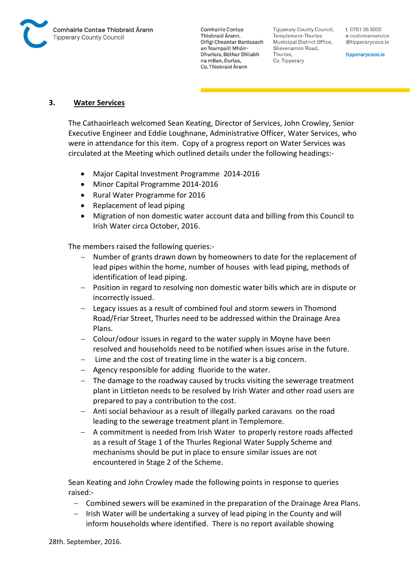

Tipperary County Council. Templemore-Thurles Municipal District Office, Slievenamon Road, Thurles, Co. Tipperary

t 0761 06 5000 e customerservice @tipperarycoco.ie

tipperarycoco.ie

## **3. Water Services**

The Cathaoirleach welcomed Sean Keating, Director of Services, John Crowley, Senior Executive Engineer and Eddie Loughnane, Administrative Officer, Water Services, who were in attendance for this item. Copy of a progress report on Water Services was circulated at the Meeting which outlined details under the following headings:-

- Major Capital Investment Programme 2014-2016
- Minor Capital Programme 2014-2016
- Rural Water Programme for 2016
- Replacement of lead piping
- Migration of non domestic water account data and billing from this Council to Irish Water circa October, 2016.

The members raised the following queries:-

- Number of grants drawn down by homeowners to date for the replacement of lead pipes within the home, number of houses with lead piping, methods of identification of lead piping.
- Position in regard to resolving non domestic water bills which are in dispute or incorrectly issued.
- Legacy issues as a result of combined foul and storm sewers in Thomond Road/Friar Street, Thurles need to be addressed within the Drainage Area Plans.
- Colour/odour issues in regard to the water supply in Moyne have been resolved and households need to be notified when issues arise in the future.
- $-$  Lime and the cost of treating lime in the water is a big concern.
- Agency responsible for adding fluoride to the water.
- The damage to the roadway caused by trucks visiting the sewerage treatment plant in Littleton needs to be resolved by Irish Water and other road users are prepared to pay a contribution to the cost.
- Anti social behaviour as a result of illegally parked caravans on the road leading to the sewerage treatment plant in Templemore.
- A commitment is needed from Irish Water to properly restore roads affected as a result of Stage 1 of the Thurles Regional Water Supply Scheme and mechanisms should be put in place to ensure similar issues are not encountered in Stage 2 of the Scheme.

Sean Keating and John Crowley made the following points in response to queries raised:-

- Combined sewers will be examined in the preparation of the Drainage Area Plans.
- Irish Water will be undertaking a survey of lead piping in the County and will inform households where identified. There is no report available showing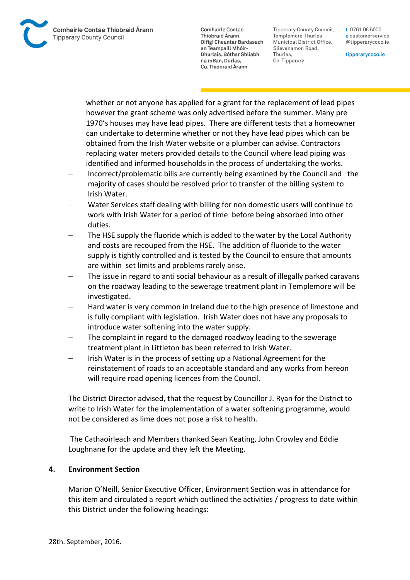Comhairle Contae Thiobraid Árann **Tipperary County Council** 

**Comhairle Contae** Thiobraid Árann. Oifigí Cheantar Bardasach an Teampaill Mhóir-Dhurlais, Bóthar Shliabh na mBan, Durlas. Co. Thiobraid Árann

Tipperary County Council. Templemore-Thurles Municipal District Office, Slievenamon Road, Thurles, Co. Tipperary

t 0761 06 5000 e customerservice @tipperarycoco.ie

tipperarycoco.ie

whether or not anyone has applied for a grant for the replacement of lead pipes however the grant scheme was only advertised before the summer. Many pre 1970's houses may have lead pipes. There are different tests that a homeowner can undertake to determine whether or not they have lead pipes which can be obtained from the Irish Water website or a plumber can advise. Contractors replacing water meters provided details to the Council where lead piping was identified and informed households in the process of undertaking the works.

- Incorrect/problematic bills are currently being examined by the Council and the majority of cases should be resolved prior to transfer of the billing system to Irish Water.
- Water Services staff dealing with billing for non domestic users will continue to work with Irish Water for a period of time before being absorbed into other duties.
- The HSE supply the fluoride which is added to the water by the Local Authority and costs are recouped from the HSE. The addition of fluoride to the water supply is tightly controlled and is tested by the Council to ensure that amounts are within set limits and problems rarely arise.
- The issue in regard to anti social behaviour as a result of illegally parked caravans on the roadway leading to the sewerage treatment plant in Templemore will be investigated.
- Hard water is very common in Ireland due to the high presence of limestone and is fully compliant with legislation. Irish Water does not have any proposals to introduce water softening into the water supply.
- The complaint in regard to the damaged roadway leading to the sewerage treatment plant in Littleton has been referred to Irish Water.
- Irish Water is in the process of setting up a National Agreement for the reinstatement of roads to an acceptable standard and any works from hereon will require road opening licences from the Council.

The District Director advised, that the request by Councillor J. Ryan for the District to write to Irish Water for the implementation of a water softening programme, would not be considered as lime does not pose a risk to health.

The Cathaoirleach and Members thanked Sean Keating, John Crowley and Eddie Loughnane for the update and they left the Meeting.

# **4. Environment Section**

Marion O'Neill, Senior Executive Officer, Environment Section was in attendance for this item and circulated a report which outlined the activities / progress to date within this District under the following headings: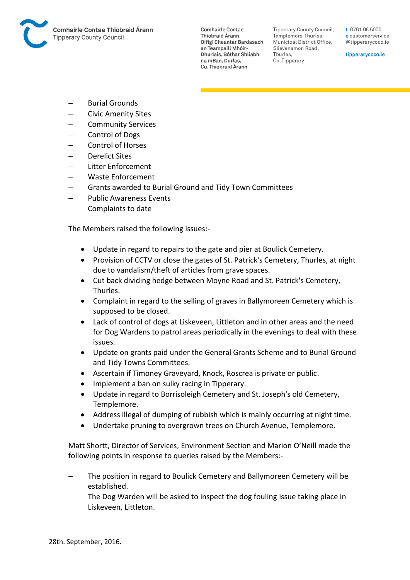

Tipperary County Council. Templemore-Thurles Municipal District Office, Slievenamon Road, Thurles, Co. Tipperary

t 0761 06 5000 e customerservice @tipperarycoco.ie

tipperarycoco.ie

- Burial Grounds
- Civic Amenity Sites
- Community Services
- Control of Dogs
- Control of Horses
- Derelict Sites
- Litter Enforcement
- Waste Enforcement
- Grants awarded to Burial Ground and Tidy Town Committees
- Public Awareness Events
- Complaints to date

The Members raised the following issues:-

- Update in regard to repairs to the gate and pier at Boulick Cemetery.
- Provision of CCTV or close the gates of St. Patrick's Cemetery, Thurles, at night due to vandalism/theft of articles from grave spaces.
- Cut back dividing hedge between Moyne Road and St. Patrick's Cemetery, Thurles.
- Complaint in regard to the selling of graves in Ballymoreen Cemetery which is supposed to be closed.
- Lack of control of dogs at Liskeveen, Littleton and in other areas and the need for Dog Wardens to patrol areas periodically in the evenings to deal with these issues.
- Update on grants paid under the General Grants Scheme and to Burial Ground and Tidy Towns Committees.
- Ascertain if Timoney Graveyard, Knock, Roscrea is private or public.
- Implement a ban on sulky racing in Tipperary.
- Update in regard to Borrisoleigh Cemetery and St. Joseph's old Cemetery, Templemore.
- Address illegal of dumping of rubbish which is mainly occurring at night time.
- Undertake pruning to overgrown trees on Church Avenue, Templemore.

Matt Shortt, Director of Services, Environment Section and Marion O'Neill made the following points in response to queries raised by the Members:-

- The position in regard to Boulick Cemetery and Ballymoreen Cemetery will be established.
- The Dog Warden will be asked to inspect the dog fouling issue taking place in Liskeveen, Littleton.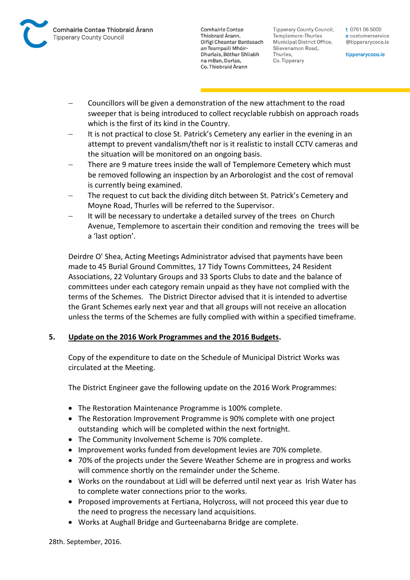

Tipperary County Council. Templemore-Thurles Municipal District Office, Slievenamon Road, Thurles, Co. Tipperary

t 0761 06 5000 e customerservice @tipperarycoco.ie

tipperarycoco.ie

- Councillors will be given a demonstration of the new attachment to the road sweeper that is being introduced to collect recyclable rubbish on approach roads which is the first of its kind in the Country.
- It is not practical to close St. Patrick's Cemetery any earlier in the evening in an attempt to prevent vandalism/theft nor is it realistic to install CCTV cameras and the situation will be monitored on an ongoing basis.
- There are 9 mature trees inside the wall of Templemore Cemetery which must be removed following an inspection by an Arborologist and the cost of removal is currently being examined.
- The request to cut back the dividing ditch between St. Patrick's Cemetery and Moyne Road, Thurles will be referred to the Supervisor.
- It will be necessary to undertake a detailed survey of the trees on Church Avenue, Templemore to ascertain their condition and removing the trees will be a 'last option'.

Deirdre O' Shea, Acting Meetings Administrator advised that payments have been made to 45 Burial Ground Committes, 17 Tidy Towns Committees, 24 Resident Associations, 22 Voluntary Groups and 33 Sports Clubs to date and the balance of committees under each category remain unpaid as they have not complied with the terms of the Schemes. The District Director advised that it is intended to advertise the Grant Schemes early next year and that all groups will not receive an allocation unless the terms of the Schemes are fully complied with within a specified timeframe.

# **5. Update on the 2016 Work Programmes and the 2016 Budgets.**

Copy of the expenditure to date on the Schedule of Municipal District Works was circulated at the Meeting.

The District Engineer gave the following update on the 2016 Work Programmes:

- The Restoration Maintenance Programme is 100% complete.
- The Restoration Improvement Programme is 90% complete with one project outstanding which will be completed within the next fortnight.
- The Community Involvement Scheme is 70% complete.
- Improvement works funded from development levies are 70% complete.
- 70% of the projects under the Severe Weather Scheme are in progress and works will commence shortly on the remainder under the Scheme.
- Works on the roundabout at Lidl will be deferred until next year as Irish Water has to complete water connections prior to the works.
- Proposed improvements at Fertiana, Holycross, will not proceed this year due to the need to progress the necessary land acquisitions.
- Works at Aughall Bridge and Gurteenabarna Bridge are complete.

28th. September, 2016.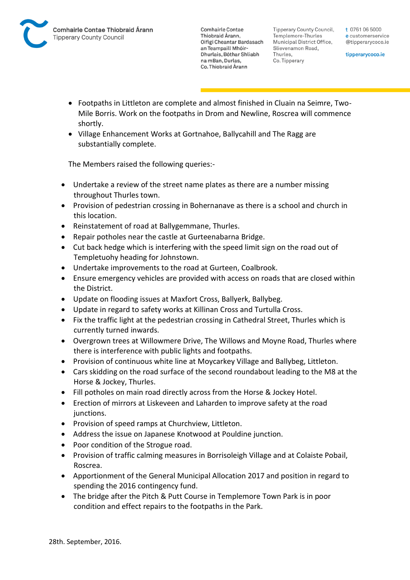**Tipperary County Council,** Templemore-Thurles Municipal District Office, Slievenamon Road, Thurles, Co. Tipperary

t 0761 06 5000 e customerservice @tipperarycoco.ie

tipperarycoco.ie

- Footpaths in Littleton are complete and almost finished in Cluain na Seimre, Two-Mile Borris. Work on the footpaths in Drom and Newline, Roscrea will commence shortly.
- Village Enhancement Works at Gortnahoe, Ballycahill and The Ragg are substantially complete.

The Members raised the following queries:-

- Undertake a review of the street name plates as there are a number missing throughout Thurles town.
- Provision of pedestrian crossing in Bohernanave as there is a school and church in this location.
- Reinstatement of road at Ballygemmane, Thurles.
- Repair potholes near the castle at Gurteenabarna Bridge.
- Cut back hedge which is interfering with the speed limit sign on the road out of Templetuohy heading for Johnstown.
- Undertake improvements to the road at Gurteen, Coalbrook.
- Ensure emergency vehicles are provided with access on roads that are closed within the District.
- Update on flooding issues at Maxfort Cross, Ballyerk, Ballybeg.
- Update in regard to safety works at Killinan Cross and Turtulla Cross.
- Fix the traffic light at the pedestrian crossing in Cathedral Street, Thurles which is currently turned inwards.
- Overgrown trees at Willowmere Drive, The Willows and Moyne Road, Thurles where there is interference with public lights and footpaths.
- Provision of continuous white line at Moycarkey Village and Ballybeg, Littleton.
- Cars skidding on the road surface of the second roundabout leading to the M8 at the Horse & Jockey, Thurles.
- Fill potholes on main road directly across from the Horse & Jockey Hotel.
- Erection of mirrors at Liskeveen and Laharden to improve safety at the road junctions.
- Provision of speed ramps at Churchview, Littleton.
- Address the issue on Japanese Knotwood at Pouldine junction.
- Poor condition of the Strogue road.
- Provision of traffic calming measures in Borrisoleigh Village and at Colaiste Pobail, Roscrea.
- Apportionment of the General Municipal Allocation 2017 and position in regard to spending the 2016 contingency fund.
- The bridge after the Pitch & Putt Course in Templemore Town Park is in poor condition and effect repairs to the footpaths in the Park.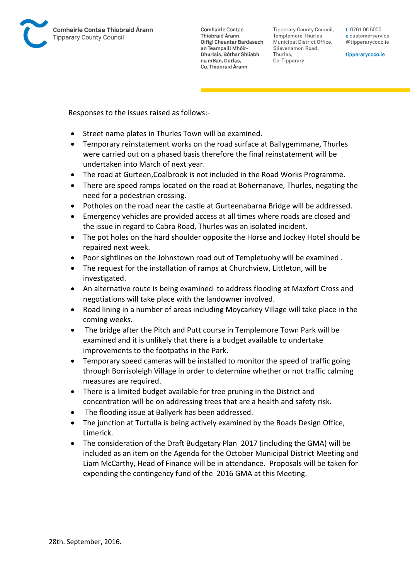

Tipperary County Council. Templemore-Thurles Municipal District Office, Slievenamon Road, Thurles, Co. Tipperary

t 0761 06 5000 e customerservice @tipperarycoco.ie

tipperarycoco.ie

Responses to the issues raised as follows:-

- Street name plates in Thurles Town will be examined.
- Temporary reinstatement works on the road surface at Ballygemmane, Thurles were carried out on a phased basis therefore the final reinstatement will be undertaken into March of next year.
- The road at Gurteen,Coalbrook is not included in the Road Works Programme.
- There are speed ramps located on the road at Bohernanave, Thurles, negating the need for a pedestrian crossing.
- Potholes on the road near the castle at Gurteenabarna Bridge will be addressed.
- Emergency vehicles are provided access at all times where roads are closed and the issue in regard to Cabra Road, Thurles was an isolated incident.
- The pot holes on the hard shoulder opposite the Horse and Jockey Hotel should be repaired next week.
- Poor sightlines on the Johnstown road out of Templetuohy will be examined .
- The request for the installation of ramps at Churchview, Littleton, will be investigated.
- An alternative route is being examined to address flooding at Maxfort Cross and negotiations will take place with the landowner involved.
- Road lining in a number of areas including Moycarkey Village will take place in the coming weeks.
- The bridge after the Pitch and Putt course in Templemore Town Park will be examined and it is unlikely that there is a budget available to undertake improvements to the footpaths in the Park.
- Temporary speed cameras will be installed to monitor the speed of traffic going through Borrisoleigh Village in order to determine whether or not traffic calming measures are required.
- There is a limited budget available for tree pruning in the District and concentration will be on addressing trees that are a health and safety risk.
- The flooding issue at Ballyerk has been addressed.
- The junction at Turtulla is being actively examined by the Roads Design Office, Limerick.
- The consideration of the Draft Budgetary Plan 2017 (including the GMA) will be included as an item on the Agenda for the October Municipal District Meeting and Liam McCarthy, Head of Finance will be in attendance. Proposals will be taken for expending the contingency fund of the 2016 GMA at this Meeting.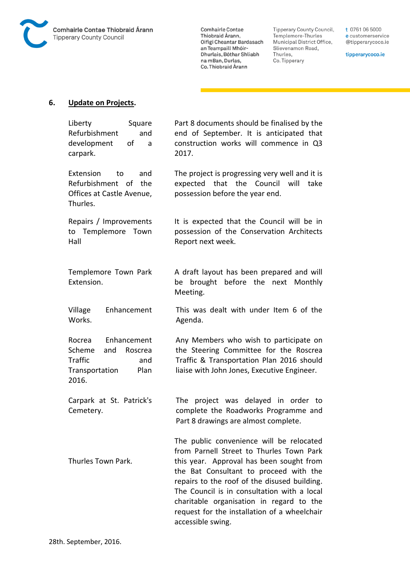

Comhairle Contae Commante Contae<br>Thiobraid Árann,<br>Oifigí Cheantar Bardasach an Teampaill Mhóir-Dhurlais, Bóthar Shliabh na mBan, Durlas,<br>Co. Thiobraid Árann

Tipperary County Council,<br>Templemore-Thurles<br>Municipal District Office, Slievenamon Road, Thurles, Co. Tipperary

t 0761 06 5000 e customerservice @tipperarycoco.ie

tipperarycoco.ie

## **6. Update on Projects.**

| Liberty<br>Square<br>Refurbishment<br>and<br>development<br>οf<br>a<br>carpark.                               | Part 8 documents should be finalised by the<br>end of September. It is anticipated that<br>construction works will commence in Q3<br>2017.                                                                                                                                                                                                                                                 |
|---------------------------------------------------------------------------------------------------------------|--------------------------------------------------------------------------------------------------------------------------------------------------------------------------------------------------------------------------------------------------------------------------------------------------------------------------------------------------------------------------------------------|
| Extension<br>and<br>to<br>Refurbishment of<br>the<br>Offices at Castle Avenue,<br>Thurles.                    | The project is progressing very well and it is<br>that the Council<br>expected<br>will<br>take<br>possession before the year end.                                                                                                                                                                                                                                                          |
| Repairs / Improvements<br>to Templemore Town<br>Hall                                                          | It is expected that the Council will be in<br>possession of the Conservation Architects<br>Report next week.                                                                                                                                                                                                                                                                               |
| Templemore Town Park<br>Extension.                                                                            | A draft layout has been prepared and will<br>be brought before the next Monthly<br>Meeting.                                                                                                                                                                                                                                                                                                |
| Village<br>Enhancement<br>Works.                                                                              | This was dealt with under Item 6 of the<br>Agenda.                                                                                                                                                                                                                                                                                                                                         |
| Enhancement<br>Rocrea<br>Scheme<br>and<br>Roscrea<br><b>Traffic</b><br>and<br>Transportation<br>Plan<br>2016. | Any Members who wish to participate on<br>the Steering Committee for the Roscrea<br>Traffic & Transportation Plan 2016 should<br>liaise with John Jones, Executive Engineer.                                                                                                                                                                                                               |
| Carpark at St. Patrick's<br>Cemetery.                                                                         | The project was delayed in order to<br>complete the Roadworks Programme and<br>Part 8 drawings are almost complete.                                                                                                                                                                                                                                                                        |
| Thurles Town Park.                                                                                            | The public convenience will be relocated<br>from Parnell Street to Thurles Town Park<br>this year. Approval has been sought from<br>the Bat Consultant to proceed with the<br>repairs to the roof of the disused building.<br>The Council is in consultation with a local<br>charitable organisation in regard to the<br>request for the installation of a wheelchair<br>accessible swing. |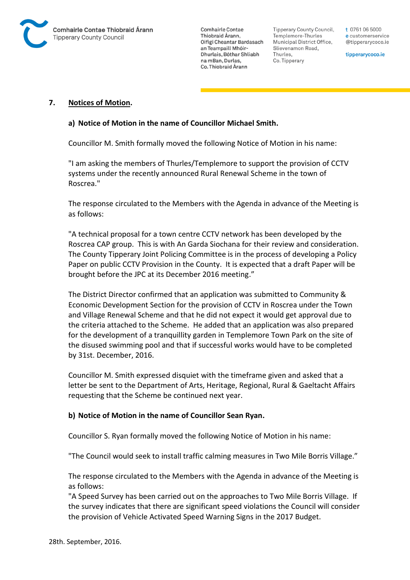

Tipperary County Council. Templemore-Thurles Municipal District Office, Slievenamon Road, Thurles, Co. Tipperary

t 0761 06 5000 e customerservice @tipperarycoco.ie

tipperarycoco.ie

#### **7. Notices of Motion.**

#### **a) Notice of Motion in the name of Councillor Michael Smith.**

Councillor M. Smith formally moved the following Notice of Motion in his name:

"I am asking the members of Thurles/Templemore to support the provision of CCTV systems under the recently announced Rural Renewal Scheme in the town of Roscrea."

The response circulated to the Members with the Agenda in advance of the Meeting is as follows:

"A technical proposal for a town centre CCTV network has been developed by the Roscrea CAP group. This is with An Garda Siochana for their review and consideration. The County Tipperary Joint Policing Committee is in the process of developing a Policy Paper on public CCTV Provision in the County. It is expected that a draft Paper will be brought before the JPC at its December 2016 meeting."

The District Director confirmed that an application was submitted to Community & Economic Development Section for the provision of CCTV in Roscrea under the Town and Village Renewal Scheme and that he did not expect it would get approval due to the criteria attached to the Scheme. He added that an application was also prepared for the development of a tranquillity garden in Templemore Town Park on the site of the disused swimming pool and that if successful works would have to be completed by 31st. December, 2016.

Councillor M. Smith expressed disquiet with the timeframe given and asked that a letter be sent to the Department of Arts, Heritage, Regional, Rural & Gaeltacht Affairs requesting that the Scheme be continued next year.

#### **b) Notice of Motion in the name of Councillor Sean Ryan.**

Councillor S. Ryan formally moved the following Notice of Motion in his name:

"The Council would seek to install traffic calming measures in Two Mile Borris Village."

The response circulated to the Members with the Agenda in advance of the Meeting is as follows:

"A Speed Survey has been carried out on the approaches to Two Mile Borris Village. If the survey indicates that there are significant speed violations the Council will consider the provision of Vehicle Activated Speed Warning Signs in the 2017 Budget.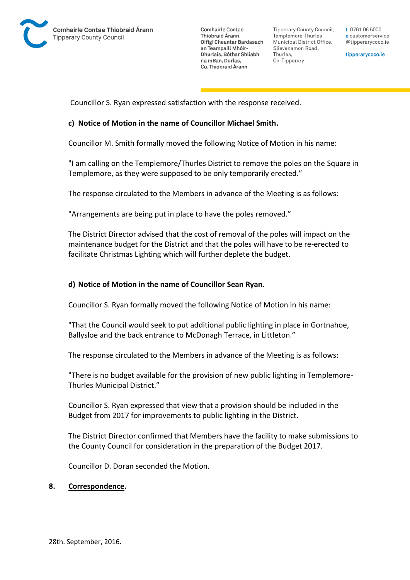

**Tipperary County Council,** Templemore-Thurles Municipal District Office, Slievenamon Road, Thurles, Co. Tipperary

t 0761 06 5000 e customerservice @tipperarycoco.ie

tipperarycoco.ie

Councillor S. Ryan expressed satisfaction with the response received.

#### **c) Notice of Motion in the name of Councillor Michael Smith.**

Councillor M. Smith formally moved the following Notice of Motion in his name:

"I am calling on the Templemore/Thurles District to remove the poles on the Square in Templemore, as they were supposed to be only temporarily erected."

The response circulated to the Members in advance of the Meeting is as follows:

"Arrangements are being put in place to have the poles removed."

The District Director advised that the cost of removal of the poles will impact on the maintenance budget for the District and that the poles will have to be re-erected to facilitate Christmas Lighting which will further deplete the budget.

#### **d) Notice of Motion in the name of Councillor Sean Ryan.**

Councillor S. Ryan formally moved the following Notice of Motion in his name:

"That the Council would seek to put additional public lighting in place in Gortnahoe, Ballysloe and the back entrance to McDonagh Terrace, in Littleton."

The response circulated to the Members in advance of the Meeting is as follows:

"There is no budget available for the provision of new public lighting in Templemore-Thurles Municipal District."

Councillor S. Ryan expressed that view that a provision should be included in the Budget from 2017 for improvements to public lighting in the District.

The District Director confirmed that Members have the facility to make submissions to the County Council for consideration in the preparation of the Budget 2017.

Councillor D. Doran seconded the Motion.

#### **8. Correspondence.**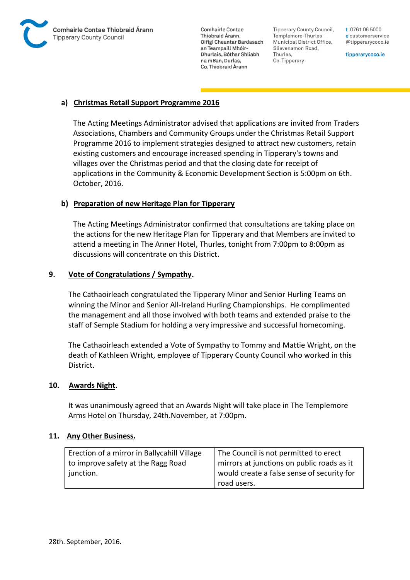

Tipperary County Council. Templemore-Thurles Municipal District Office, Slievenamon Road, Thurles, Co. Tipperary

t 0761 06 5000 e customerservice @tipperarycoco.ie

tipperarycoco.ie

# **a) Christmas Retail Support Programme 2016**

The Acting Meetings Administrator advised that applications are invited from Traders Associations, Chambers and Community Groups under the Christmas Retail Support Programme 2016 to implement strategies designed to attract new customers, retain existing customers and encourage increased spending in Tipperary's towns and villages over the Christmas period and that the closing date for receipt of applications in the Community & Economic Development Section is 5:00pm on 6th. October, 2016.

# **b) Preparation of new Heritage Plan for Tipperary**

The Acting Meetings Administrator confirmed that consultations are taking place on the actions for the new Heritage Plan for Tipperary and that Members are invited to attend a meeting in The Anner Hotel, Thurles, tonight from 7:00pm to 8:00pm as discussions will concentrate on this District.

# **9. Vote of Congratulations / Sympathy.**

The Cathaoirleach congratulated the Tipperary Minor and Senior Hurling Teams on winning the Minor and Senior All-Ireland Hurling Championships. He complimented the management and all those involved with both teams and extended praise to the staff of Semple Stadium for holding a very impressive and successful homecoming.

The Cathaoirleach extended a Vote of Sympathy to Tommy and Mattie Wright, on the death of Kathleen Wright, employee of Tipperary County Council who worked in this District.

## **10. Awards Night.**

It was unanimously agreed that an Awards Night will take place in The Templemore Arms Hotel on Thursday, 24th.November, at 7:00pm.

## **11. Any Other Business.**

| Erection of a mirror in Ballycahill Village | The Council is not permitted to erect      |
|---------------------------------------------|--------------------------------------------|
| to improve safety at the Ragg Road          | mirrors at junctions on public roads as it |
| junction.                                   | would create a false sense of security for |
|                                             | road users.                                |